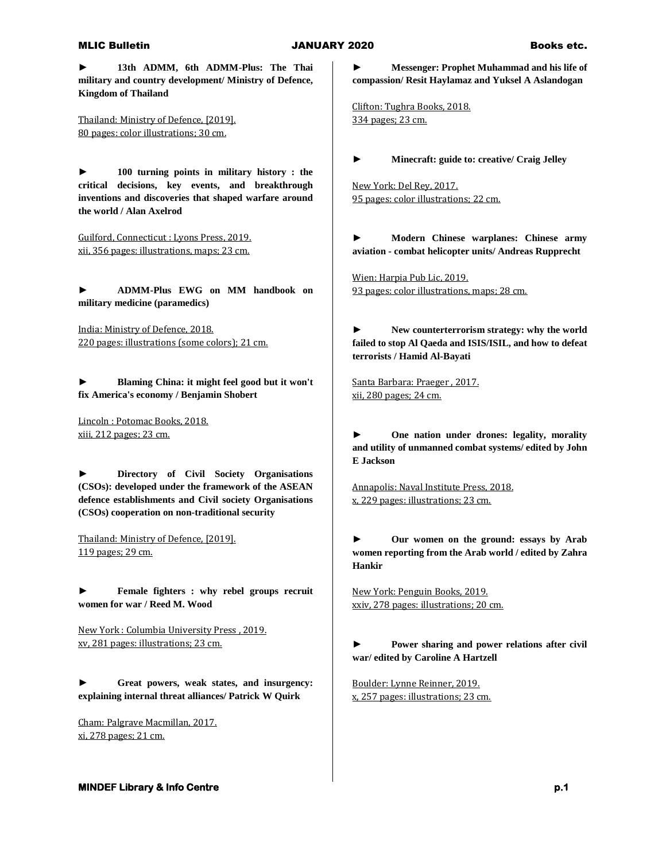### MLIC Bulletin JANUARY 2020 Books etc.

**► 13th ADMM, 6th ADMM-Plus: The Thai military and country development/ Ministry of Defence, Kingdom of Thailand**

Thailand: Ministry of Defence, [2019]. 80 pages: color illustrations; 30 cm.

**► 100 turning points in military history : the critical decisions, key events, and breakthrough inventions and discoveries that shaped warfare around the world / Alan Axelrod**

Guilford, Connecticut : Lyons Press, 2019. xii, 356 pages: illustrations, maps; 23 cm.

**► ADMM-Plus EWG on MM handbook on military medicine (paramedics)**

India: Ministry of Defence, 2018. 220 pages: illustrations (some colors); 21 cm.

**► Blaming China: it might feel good but it won't fix America's economy / Benjamin Shobert**

Lincoln : Potomac Books, 2018. xiii, 212 pages; 23 cm.

**► Directory of Civil Society Organisations (CSOs): developed under the framework of the ASEAN defence establishments and Civil society Organisations (CSOs) cooperation on non-traditional security**

Thailand: Ministry of Defence, [2019]. 119 pages; 29 cm.

**► Female fighters : why rebel groups recruit women for war / Reed M. Wood**

New York : Columbia University Press , 2019. xv, 281 pages: illustrations; 23 cm.

**► Great powers, weak states, and insurgency: explaining internal threat alliances/ Patrick W Quirk**

Cham: Palgrave Macmillan, 2017. xi, 278 pages; 21 cm.

**► Messenger: Prophet Muhammad and his life of compassion/ Resit Haylamaz and Yuksel A Aslandogan**

Clifton: Tughra Books, 2018. 334 pages; 23 cm.

**► Minecraft: guide to: creative/ Craig Jelley**

New York: Del Rey, 2017. 95 pages: color illustrations; 22 cm.

**► Modern Chinese warplanes: Chinese army aviation - combat helicopter units/ Andreas Rupprecht**

Wien: Harpia Pub Lic, 2019. 93 pages: color illustrations, maps; 28 cm.

**► New counterterrorism strategy: why the world failed to stop Al Qaeda and ISIS/ISIL, and how to defeat terrorists / Hamid Al-Bayati**

Santa Barbara: Praeger , 2017. xii, 280 pages; 24 cm.

**► One nation under drones: legality, morality and utility of unmanned combat systems/ edited by John E Jackson**

Annapolis: Naval Institute Press, 2018. x, 229 pages: illustrations; 23 cm.

**► Our women on the ground: essays by Arab women reporting from the Arab world / edited by Zahra Hankir**

New York: Penguin Books, 2019. xxiv, 278 pages: illustrations; 20 cm.

**► Power sharing and power relations after civil war/ edited by Caroline A Hartzell**

Boulder: Lynne Reinner, 2019. x, 257 pages: illustrations; 23 cm.

# **MINDEF Library & Info Centre p.1** *p.1* **<b>p.1** *p.1*